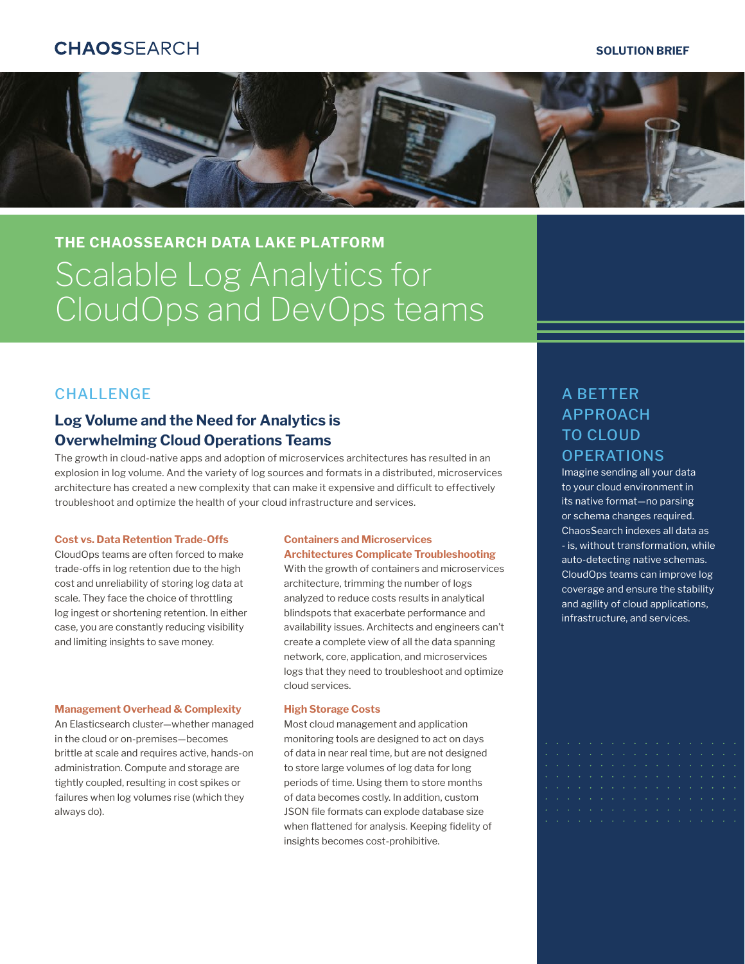# **CHAOSSFARCH**

### **SOLUTION BRIEF**



# **THE CHAOSSEARCH DATA LAKE PLATFORM** Scalable Log Analytics for CloudOps and DevOps teams

## **CHALLENGE**

# **Log Volume and the Need for Analytics is Overwhelming Cloud Operations Teams**

The growth in cloud-native apps and adoption of microservices architectures has resulted in an explosion in log volume. And the variety of log sources and formats in a distributed, microservices architecture has created a new complexity that can make it expensive and difficult to effectively troubleshoot and optimize the health of your cloud infrastructure and services.

#### **Cost vs. Data Retention Trade-Offs**

CloudOps teams are often forced to make trade-offs in log retention due to the high cost and unreliability of storing log data at scale. They face the choice of throttling log ingest or shortening retention. In either case, you are constantly reducing visibility and limiting insights to save money.

### **Management Overhead & Complexity**

An Elasticsearch cluster—whether managed in the cloud or on-premises—becomes brittle at scale and requires active, hands-on administration. Compute and storage are tightly coupled, resulting in cost spikes or failures when log volumes rise (which they always do).

### **Containers and Microservices Architectures Complicate Troubleshooting**

With the growth of containers and microservices architecture, trimming the number of logs analyzed to reduce costs results in analytical blindspots that exacerbate performance and availability issues. Architects and engineers can't create a complete view of all the data spanning network, core, application, and microservices logs that they need to troubleshoot and optimize cloud services.

### **High Storage Costs**

Most cloud management and application monitoring tools are designed to act on days of data in near real time, but are not designed to store large volumes of log data for long periods of time. Using them to store months of data becomes costly. In addition, custom JSON file formats can explode database size when flattened for analysis. Keeping fidelity of insights becomes cost-prohibitive.

# A BETTER APPROACH TO CLOUD **OPERATIONS**

Imagine sending all your data to your cloud environment in its native format—no parsing or schema changes required. ChaosSearch indexes all data as - is, without transformation, while auto-detecting native schemas. CloudOps teams can improve log coverage and ensure the stability and agility of cloud applications, infrastructure, and services.